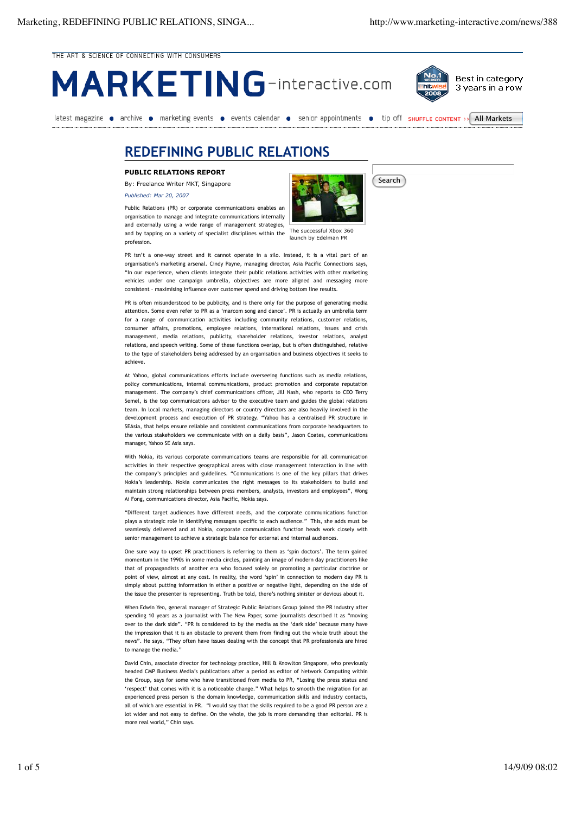THE ART & SCIENCE OF CONNECTING WITH CONSUMERS





Best in category 3 years in a row

latest magazine • archive • marketing events • events calendar • senior appointments • tip off sHUFFLE CONTENT >> All Markets

## **REDEFINING PUBLIC RELATIONS**

**PUBLIC RELATIONS REPORT**

By: Freelance Writer MKT, Singapore

*Published: Mar 20, 2007*

launch by Edelman PR Public Relations (PR) or corporate communications enables an organisation to manage and integrate communications internally and externally using a wide range of management strategies, and by tapping on a variety of specialist disciplines within the profession.



Search

PR isn't a one-way street and it cannot operate in a silo. Instead, it is a vital part of an organisation's marketing arsenal. Cindy Payne, managing director, Asia Pacific Connections says, "In our experience, when clients integrate their public relations activities with other marketing vehicles under one campaign umbrella, objectives are more aligned and messaging more consistent – maximising influence over customer spend and driving bottom line results.

PR is often misunderstood to be publicity, and is there only for the purpose of generating media attention. Some even refer to PR as a 'marcom song and dance'. PR is actually an umbrella term for a range of communication activities including community relations, customer relations, consumer affairs, promotions, employee relations, international relations, issues and crisis management, media relations, publicity, shareholder relations, investor relations, analyst relations, and speech writing. Some of these functions overlap, but is often distinguished, relative to the type of stakeholders being addressed by an organisation and business objectives it seeks to achieve.

At Yahoo, global communications efforts include overseeing functions such as media relations, policy communications, internal communications, product promotion and corporate reputation management. The company's chief communications cfficer, Jill Nash, who reports to CEO Terry Semel, is the top communications advisor to the executive team and guides the global relations team. In local markets, managing directors or country directors are also heavily involved in the development process and execution of PR strategy. "Yahoo has a centralised PR structure in SEAsia, that helps ensure reliable and consistent communications from corporate headquarters to the various stakeholders we communicate with on a daily basis", Jason Coates, communications manager, Yahoo SE Asia says.

With Nokia, its various corporate communications teams are responsible for all communication activities in their respective geographical areas with close management interaction in line with the company's principles and guidelines. "Communications is one of the key pillars that drives Nokia's leadership. Nokia communicates the right messages to its stakeholders to build and maintain strong relationships between press members, analysts, investors and employees", Wong Ai Fong, communications director, Asia Pacific, Nokia says.

"Different target audiences have different needs, and the corporate communications function plays a strategic role in identifying messages specific to each audience." This, she adds must be seamlessly delivered and at Nokia, corporate communication function heads work closely with senior management to achieve a strategic balance for external and internal audiences.

One sure way to upset PR practitioners is referring to them as 'spin doctors'. The term gained momentum in the 1990s in some media circles, painting an image of modern day practitioners like that of propagandists of another era who focused solely on promoting a particular doctrine or point of view, almost at any cost. In reality, the word 'spin' in connection to modern day PR is simply about putting information in either a positive or negative light, depending on the side of the issue the presenter is representing. Truth be told, there's nothing sinister or devious about it.

When Edwin Yeo, general manager of Strategic Public Relations Group joined the PR industry after spending 10 years as a journalist with The New Paper, some journalists described it as "moving over to the dark side". "PR is considered to by the media as the 'dark side' because many have the impression that it is an obstacle to prevent them from finding out the whole truth about the news". He says, "They often have issues dealing with the concept that PR professionals are hired to manage the media."

David Chin, associate director for technology practice, Hill & Knowlton Singapore, who previously headed CMP Business Media's publications after a period as editor of Network Computing within the Group, says for some who have transitioned from media to PR, "Losing the press status and 'respect' that comes with it is a noticeable change." What helps to smooth the migration for an experienced press person is the domain knowledge, communication skills and industry contacts, all of which are essential in PR. "I would say that the skills required to be a good PR person are a lot wider and not easy to define. On the whole, the job is more demanding than editorial. PR is more real world," Chin says.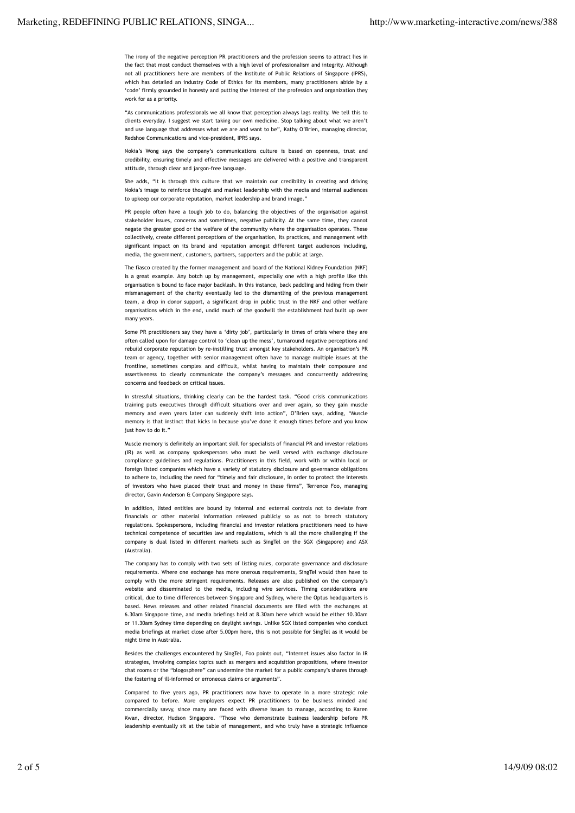The irony of the negative perception PR practitioners and the profession seems to attract lies in the fact that most conduct themselves with a high level of professionalism and integrity. Although not all practitioners here are members of the Institute of Public Relations of Singapore (IPRS), which has detailed an industry Code of Ethics for its members, many practitioners abide by a 'code' firmly grounded in honesty and putting the interest of the profession and organization they work for as a priority.

"As communications professionals we all know that perception always lags reality. We tell this to clients everyday. I suggest we start taking our own medicine. Stop talking about what we aren't and use language that addresses what we are and want to be", Kathy O'Brien, managing director, Redshoe Communications and vice-president, IPRS says.

Nokia's Wong says the company's communications culture is based on openness, trust and credibility, ensuring timely and effective messages are delivered with a positive and transparent attitude, through clear and jargon-free language.

She adds, "It is through this culture that we maintain our credibility in creating and driving Nokia's image to reinforce thought and market leadership with the media and internal audiences to upkeep our corporate reputation, market leadership and brand image."

PR people often have a tough job to do, balancing the objectives of the organisation against stakeholder issues, concerns and sometimes, negative publicity. At the same time, they cannot negate the greater good or the welfare of the community where the organisation operates. These collectively, create different perceptions of the organisation, its practices, and management with significant impact on its brand and reputation amongst different target audiences including, media, the government, customers, partners, supporters and the public at large.

The fiasco created by the former management and board of the National Kidney Foundation (NKF) is a great example. Any botch up by management, especially one with a high profile like this organisation is bound to face major backlash. In this instance, back paddling and hiding from their mismanagement of the charity eventually led to the dismantling of the previous management team, a drop in donor support, a significant drop in public trust in the NKF and other welfare organisations which in the end, undid much of the goodwill the establishment had built up over many years.

Some PR practitioners say they have a 'dirty job', particularly in times of crisis where they are often called upon for damage control to 'clean up the mess', turnaround negative perceptions and rebuild corporate reputation by re-instilling trust amongst key stakeholders. An organisation's PR team or agency, together with senior management often have to manage multiple issues at the frontline, sometimes complex and difficult, whilst having to maintain their composure and assertiveness to clearly communicate the company's messages and concurrently addressing concerns and feedback on critical issues.

In stressful situations, thinking clearly can be the hardest task. "Good crisis communications training puts executives through difficult situations over and over again, so they gain muscle memory and even years later can suddenly shift into action", O'Brien says, adding, "Muscle memory is that instinct that kicks in because you've done it enough times before and you know just how to do it."

Muscle memory is definitely an important skill for specialists of financial PR and investor relations (IR) as well as company spokespersons who must be well versed with exchange disclosure compliance guidelines and regulations. Practitioners in this field, work with or within local or foreign listed companies which have a variety of statutory disclosure and governance obligations to adhere to, including the need for "timely and fair disclosure, in order to protect the interests of investors who have placed their trust and money in these firms", Terrence Foo, managing director, Gavin Anderson & Company Singapore says.

In addition, listed entities are bound by internal and external controls not to deviate from financials or other material information released publicly so as not to breach statutory regulations. Spokespersons, including financial and investor relations practitioners need to have technical competence of securities law and regulations, which is all the more challenging if the company is dual listed in different markets such as SingTel on the SGX (Singapore) and ASX (Australia).

The company has to comply with two sets of listing rules, corporate governance and disclosure requirements. Where one exchange has more onerous requirements, SingTel would then have to comply with the more stringent requirements. Releases are also published on the company's website and disseminated to the media, including wire services. Timing considerations are critical, due to time differences between Singapore and Sydney, where the Optus headquarters is based. News releases and other related financial documents are filed with the exchanges at 6.30am Singapore time, and media briefings held at 8.30am here which would be either 10.30am or 11.30am Sydney time depending on daylight savings. Unlike SGX listed companies who conduct media briefings at market close after 5.00pm here, this is not possible for SingTel as it would be night time in Australia.

Besides the challenges encountered by SingTel, Foo points out, "Internet issues also factor in IR strategies, involving complex topics such as mergers and acquisition propositions, where investor chat rooms or the "blogosphere" can undermine the market for a public company's shares through the fostering of ill-informed or erroneous claims or arguments".

Compared to five years ago, PR practitioners now have to operate in a more strategic role compared to before. More employers expect PR practitioners to be business minded and commercially savvy, since many are faced with diverse issues to manage, according to Karen Kwan, director, Hudson Singapore. "Those who demonstrate business leadership before PR leadership eventually sit at the table of management, and who truly have a strategic influence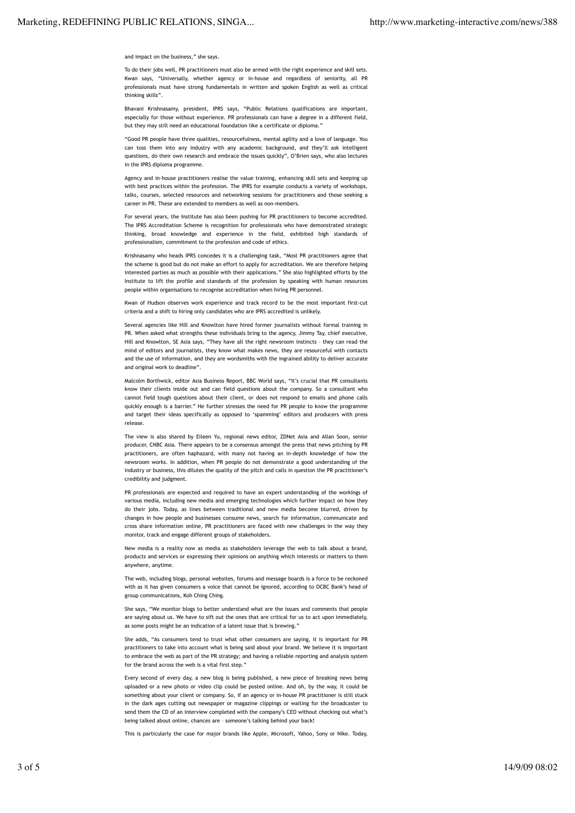## and impact on the business," she says.

To do their jobs well, PR practitioners must also be armed with the right experience and skill sets. Kwan says, "Universally, whether agency or in-house and regardless of seniority, all PR professionals must have strong fundamentals in written and spoken English as well as critical thinking skills".

Bhavani Krishnasamy, president, IPRS says, "Public Relations qualifications are important, especially for those without experience. PR professionals can have a degree in a different field, but they may still need an educational foundation like a certificate or diploma.'

"Good PR people have three qualities, resourcefulness, mental agility and a love of language. You can toss them into any industry with any academic background, and they'll ask intelligent questions, do their own research and embrace the issues quickly", O'Brien says, who also lectures in the IPRS diploma programme.

Agency and in-house practitioners realise the value training, enhancing skill sets and keeping up with best practices within the profession. The IPRS for example conducts a variety of workshops, talks, courses, selected resources and networking sessions for practitioners and those seeking a career in PR. These are extended to members as well as non-members.

For several years, the Institute has also been pushing for PR practitioners to become accredited. The IPRS Accreditation Scheme is recognition for professionals who have demonstrated strategic thinking, broad knowledge and experience in the field, exhibited high standards of professionalism, commitment to the profession and code of ethics.

Krishnasamy who heads IPRS concedes it is a challenging task, "Most PR practitioners agree that the scheme is good but do not make an effort to apply for accreditation. We are therefore helping interested parties as much as possible with their applications." She also highlighted efforts by the Institute to lift the profile and standards of the profession by speaking with human resources people within organisations to recognise accreditation when hiring PR personnel.

Kwan of Hudson observes work experience and track record to be the most important first-cut criteria and a shift to hiring only candidates who are IPRS accredited is unlikely.

Several agencies like Hill and Knowlton have hired former journalists without formal training in PR. When asked what strengths these individuals bring to the agency, Jimmy Tay, chief executive, Hill and Knowlton, SE Asia says, "They have all the right newsroom instincts – they can read the mind of editors and journalists, they know what makes news, they are resourceful with contacts and the use of information, and they are wordsmiths with the ingrained ability to deliver accurate and original work to deadline".

Malcolm Borthwick, editor Asia Business Report, BBC World says, "It's crucial that PR consultants know their clients inside out and can field questions about the company. So a consultant who cannot field tough questions about their client, or does not respond to emails and phone calls quickly enough is a barrier." He further stresses the need for PR people to know the programme and target their ideas specifically as opposed to 'spamming' editors and producers with press release.

The view is also shared by Eileen Yu, regional news editor, ZDNet Asia and Allan Soon, senior producer, CNBC Asia. There appears to be a consensus amongst the press that news pitching by PR practitioners, are often haphazard, with many not having an in-depth knowledge of how the newsroom works. In addition, when PR people do not demonstrate a good understanding of the industry or business, this dilutes the quality of the pitch and calls in question the PR practitioner's credibility and judgment.

PR professionals are expected and required to have an expert understanding of the workings of various media, including new media and emerging technologies which further impact on how they do their jobs. Today, as lines between traditional and new media become blurred, driven by changes in how people and businesses consume news, search for information, communicate and cross share information online, PR practitioners are faced with new challenges in the way they monitor, track and engage different groups of stakeholders.

New media is a reality now as media as stakeholders leverage the web to talk about a brand, products and services or expressing their opinions on anything which interests or matters to them anywhere, anytime.

The web, including blogs, personal websites, forums and message boards is a force to be reckoned with as it has given consumers a voice that cannot be ignored, according to OCBC Bank's head of group communications, Koh Ching Ching.

She says, "We monitor blogs to better understand what are the issues and comments that people are saying about us. We have to sift out the ones that are critical for us to act upon immediately, as some posts might be an indication of a latent issue that is brewing."

She adds, "As consumers tend to trust what other consumers are saying, it is important for PR practitioners to take into account what is being said about your brand. We believe it is important to embrace the web as part of the PR strategy; and having a reliable reporting and analysis system for the brand across the web is a vital first step."

Every second of every day, a new blog is being published, a new piece of breaking news being uploaded or a new photo or video clip could be posted online. And oh, by the way, it could be something about your client or company. So, if an agency or in-house PR practitioner is still stuck in the dark ages cutting out newspaper or magazine clippings or waiting for the broadcaster to send them the CD of an interview completed with the company's CEO without checking out what's being talked about online, chances are – someone's talking behind your back!

This is particularly the case for major brands like Apple, Microsoft, Yahoo, Sony or Nike. Today,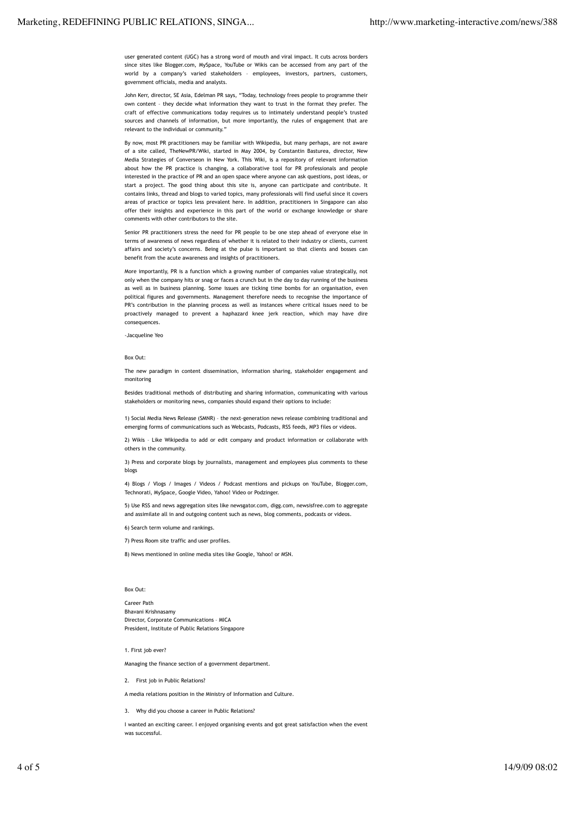user generated content (UGC) has a strong word of mouth and viral impact. It cuts across borders since sites like Blogger.com, MySpace, YouTube or Wikis can be accessed from any part of the world by a company's varied stakeholders – employees, investors, partners, customers, government officials, media and analysts.

John Kerr, director, SE Asia, Edelman PR says, "Today, technology frees people to programme their own content – they decide what information they want to trust in the format they prefer. The craft of effective communications today requires us to intimately understand people's trusted sources and channels of information, but more importantly, the rules of engagement that are relevant to the individual or community."

By now, most PR practitioners may be familiar with Wikipedia, but many perhaps, are not aware of a site called, TheNewPR/Wiki, started in May 2004, by Constantin Basturea, director, New Media Strategies of Converseon in New York. This Wiki, is a repository of relevant information about how the PR practice is changing, a collaborative tool for PR professionals and people interested in the practice of PR and an open space where anyone can ask questions, post ideas, or start a project. The good thing about this site is, anyone can participate and contribute. It contains links, thread and blogs to varied topics, many professionals will find useful since it covers areas of practice or topics less prevalent here. In addition, practitioners in Singapore can also offer their insights and experience in this part of the world or exchange knowledge or share comments with other contributors to the site.

Senior PR practitioners stress the need for PR people to be one step ahead of everyone else in terms of awareness of news regardless of whether it is related to their industry or clients, current affairs and society's concerns. Being at the pulse is important so that clients and bosses can benefit from the acute awareness and insights of practitioners.

More importantly, PR is a function which a growing number of companies value strategically, not only when the company hits or snag or faces a crunch but in the day to day running of the business as well as in business planning. Some issues are ticking time bombs for an organisation, even political figures and governments. Management therefore needs to recognise the importance of PR's contribution in the planning process as well as instances where critical issues need to be proactively managed to prevent a haphazard knee jerk reaction, which may have dire consequences.

-Jacqueline Yeo

## Box Out:

The new paradigm in content dissemination, information sharing, stakeholder engagement and monitoring

Besides traditional methods of distributing and sharing information, communicating with various stakeholders or monitoring news, companies should expand their options to include:

1) Social Media News Release (SMNR) – the next-generation news release combining traditional and emerging forms of communications such as Webcasts, Podcasts, RSS feeds, MP3 files or videos.

2) Wikis – Like Wikipedia to add or edit company and product information or collaborate with others in the community.

3) Press and corporate blogs by journalists, management and employees plus comments to these blogs

4) Blogs / Vlogs / Images / Videos / Podcast mentions and pickups on YouTube, Blogger.com, Technorati, MySpace, Google Video, Yahoo! Video or Podzinger.

5) Use RSS and news aggregation sites like newsgator.com, digg.com, newsisfree.com to aggregate and assimilate all in and outgoing content such as news, blog comments, podcasts or videos.

6) Search term volume and rankings.

7) Press Room site traffic and user profiles.

8) News mentioned in online media sites like Google, Yahoo! or MSN.

## Box Out:

Career Path Bhavani Krishnasamy Director, Corporate Communications – MICA President, Institute of Public Relations Singapore

1. First job ever?

Managing the finance section of a government department.

2. First job in Public Relations?

A media relations position in the Ministry of Information and Culture.

3. Why did you choose a career in Public Relations?

I wanted an exciting career. I enjoyed organising events and got great satisfaction when the event was successful.